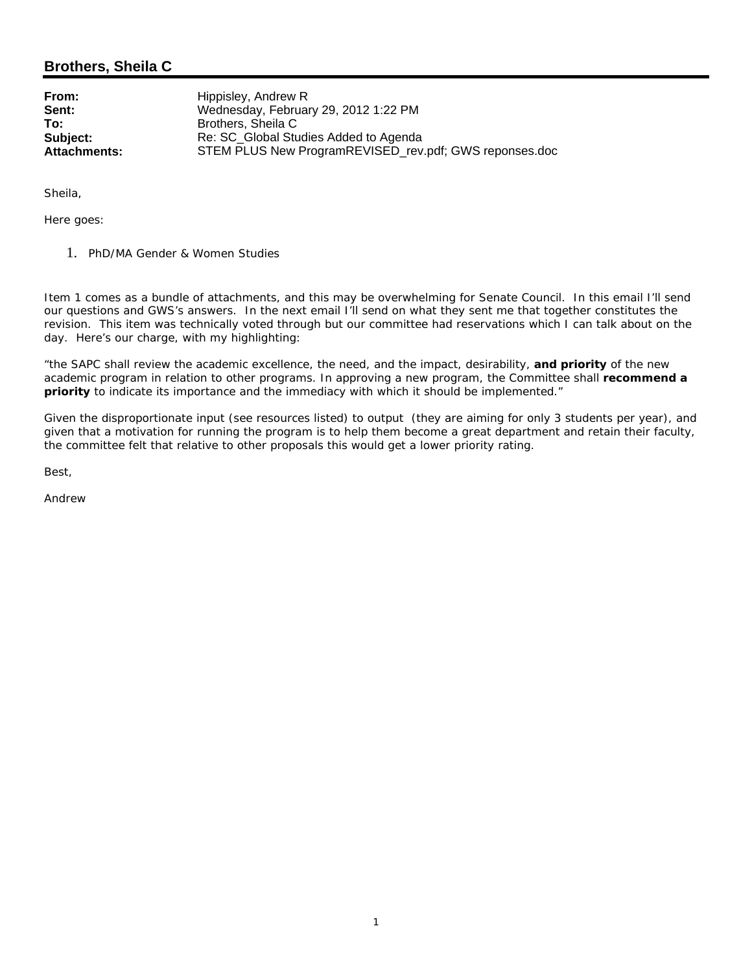## **Brothers, Sheila C**

**From:** Hippisley, Andrew R<br> **Sent:** Wednesdav. Februa **Sent:** Wednesday, February 29, 2012 1:22 PM<br> **To:** Brothers. Sheila C **To:** Brothers, Sheila C **Subject:** Re: SC\_Global Studies Added to Agenda<br> **Attachments:** STEM PLUS New ProgramREVISED rev STEM PLUS New ProgramREVISED rev.pdf; GWS reponses.doc

Sheila,

Here goes:

1. PhD/MA Gender & Women Studies

Item 1 comes as a bundle of attachments, and this may be overwhelming for Senate Council. In this email I'll send our questions and GWS's answers. In the next email I'll send on what they sent me that together constitutes the revision. This item was technically voted through but our committee had reservations which I can talk about on the day. Here's our charge, with my highlighting:

"the SAPC shall review the academic excellence, the need, and the impact, desirability, **and priority** of the new academic program in relation to other programs. In approving a new program, the Committee shall **recommend a priority** to indicate its importance and the immediacy with which it should be implemented."

Given the disproportionate input (see resources listed) to output (they are aiming for only 3 students per year), and given that a motivation for running the program is to help them become a great department and retain their faculty, the committee felt that relative to other proposals this would get a lower priority rating.

Best,

Andrew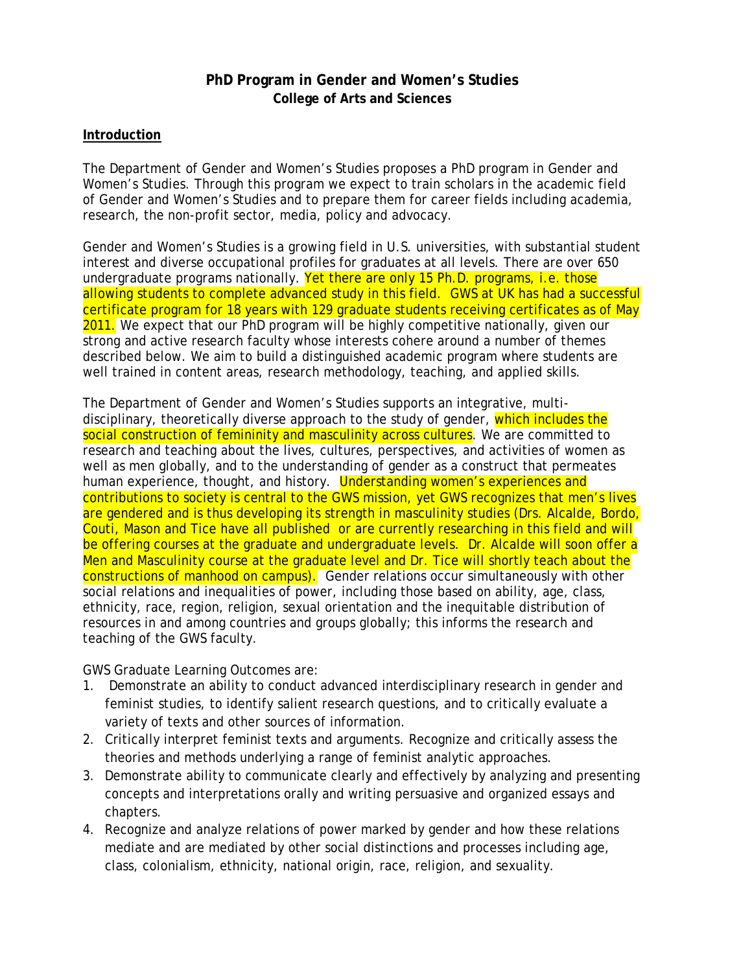# **PhD Program in Gender and Women's Studies College of Arts and Sciences**

### **Introduction**

The Department of Gender and Women's Studies proposes a PhD program in Gender and Women's Studies. Through this program we expect to train scholars in the academic field of Gender and Women's Studies and to prepare them for career fields including academia, research, the non-profit sector, media, policy and advocacy.

Gender and Women's Studies is a growing field in U.S. universities, with substantial student interest and diverse occupational profiles for graduates at all levels. There are over 650 undergraduate programs nationally. **Yet there are only 15 Ph.D. programs, i.e. those** allowing students to complete advanced study in this field. GWS at UK has had a successful certificate program for 18 years with 129 graduate students receiving certificates as of May 2011. We expect that our PhD program will be highly competitive nationally, given our strong and active research faculty whose interests cohere around a number of themes described below. We aim to build a distinguished academic program where students are well trained in content areas, research methodology, teaching, and applied skills.

The Department of Gender and Women's Studies supports an integrative, multidisciplinary, theoretically diverse approach to the study of gender, which includes the social construction of femininity and masculinity across cultures. We are committed to research and teaching about the lives, cultures, perspectives, and activities of women as well as men globally, and to the understanding of gender as a construct that permeates human experience, thought, and history. Understanding women's experiences and contributions to society is central to the GWS mission, yet GWS recognizes that men's lives are gendered and is thus developing its strength in masculinity studies (Drs. Alcalde, Bordo, Couti, Mason and Tice have all published or are currently researching in this field and will be offering courses at the graduate and undergraduate levels. Dr. Alcalde will soon offer a Men and Masculinity course at the graduate level and Dr. Tice will shortly teach about the constructions of manhood on campus). Gender relations occur simultaneously with other social relations and inequalities of power, including those based on ability, age, class, ethnicity, race, region, religion, sexual orientation and the inequitable distribution of resources in and among countries and groups globally; this informs the research and teaching of the GWS faculty.

GWS Graduate Learning Outcomes are:

- 1. Demonstrate an ability to conduct advanced interdisciplinary research in gender and feminist studies, to identify salient research questions, and to critically evaluate a variety of texts and other sources of information.
- 2. Critically interpret feminist texts and arguments. Recognize and critically assess the theories and methods underlying a range of feminist analytic approaches.
- 3. Demonstrate ability to communicate clearly and effectively by analyzing and presenting concepts and interpretations orally and writing persuasive and organized essays and chapters.
- 4. Recognize and analyze relations of power marked by gender and how these relations mediate and are mediated by other social distinctions and processes including age, class, colonialism, ethnicity, national origin, race, religion, and sexuality.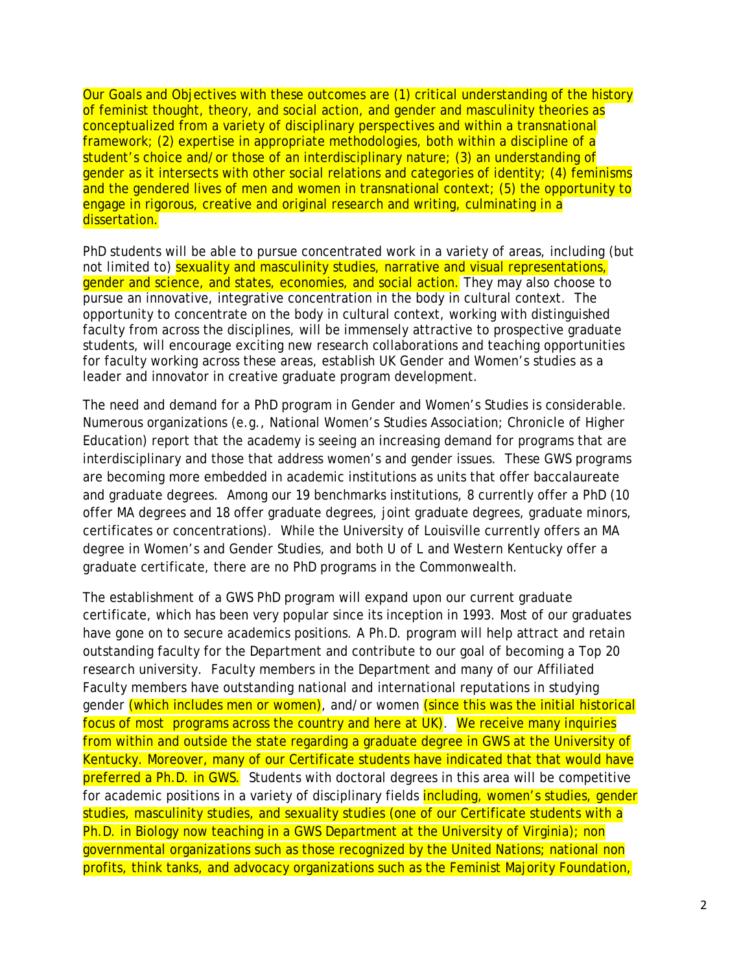Our Goals and Objectives with these outcomes are (1) critical understanding of the history of feminist thought, theory, and social action, and gender and masculinity theories as conceptualized from a variety of disciplinary perspectives and within a transnational framework; (2) expertise in appropriate methodologies, both within a discipline of a student's choice and/or those of an interdisciplinary nature; (3) an understanding of gender as it intersects with other social relations and categories of identity; (4) feminisms and the gendered lives of men and women in transnational context; (5) the opportunity to engage in rigorous, creative and original research and writing, culminating in a dissertation.

PhD students will be able to pursue concentrated work in a variety of areas, including (but not limited to) sexuality and masculinity studies, narrative and visual representations, gender and science, and states, economies, and social action. They may also choose to pursue an innovative, integrative concentration in the body in cultural context. The opportunity to concentrate on the body in cultural context, working with distinguished faculty from across the disciplines, will be immensely attractive to prospective graduate students, will encourage exciting new research collaborations and teaching opportunities for faculty working across these areas, establish UK Gender and Women's studies as a leader and innovator in creative graduate program development.

The need and demand for a PhD program in Gender and Women's Studies is considerable. Numerous organizations (e.g., National Women's Studies Association; Chronicle of Higher Education) report that the academy is seeing an increasing demand for programs that are interdisciplinary and those that address women's and gender issues. These GWS programs are becoming more embedded in academic institutions as units that offer baccalaureate and graduate degrees. Among our 19 benchmarks institutions, 8 currently offer a PhD (10 offer MA degrees and 18 offer graduate degrees, joint graduate degrees, graduate minors, certificates or concentrations). While the University of Louisville currently offers an MA degree in Women's and Gender Studies, and both U of L and Western Kentucky offer a graduate certificate, there are no PhD programs in the Commonwealth.

The establishment of a GWS PhD program will expand upon our current graduate certificate, which has been very popular since its inception in 1993. Most of our graduates have gone on to secure academics positions. A Ph.D. program will help attract and retain outstanding faculty for the Department and contribute to our goal of becoming a Top 20 research university. Faculty members in the Department and many of our Affiliated Faculty members have outstanding national and international reputations in studying gender (which includes men or women), and/or women (since this was the initial historical focus of most programs across the country and here at UK). We receive many inquiries from within and outside the state regarding a graduate degree in GWS at the University of Kentucky. Moreover, many of our Certificate students have indicated that that would have preferred a Ph.D. in GWS. Students with doctoral degrees in this area will be competitive for academic positions in a variety of disciplinary fields *including, women's studies, gender* studies, masculinity studies, and sexuality studies (one of our Certificate students with a Ph.D. in Biology now teaching in a GWS Department at the University of Virginia); non governmental organizations such as those recognized by the United Nations; national non profits, think tanks, and advocacy organizations such as the Feminist Majority Foundation,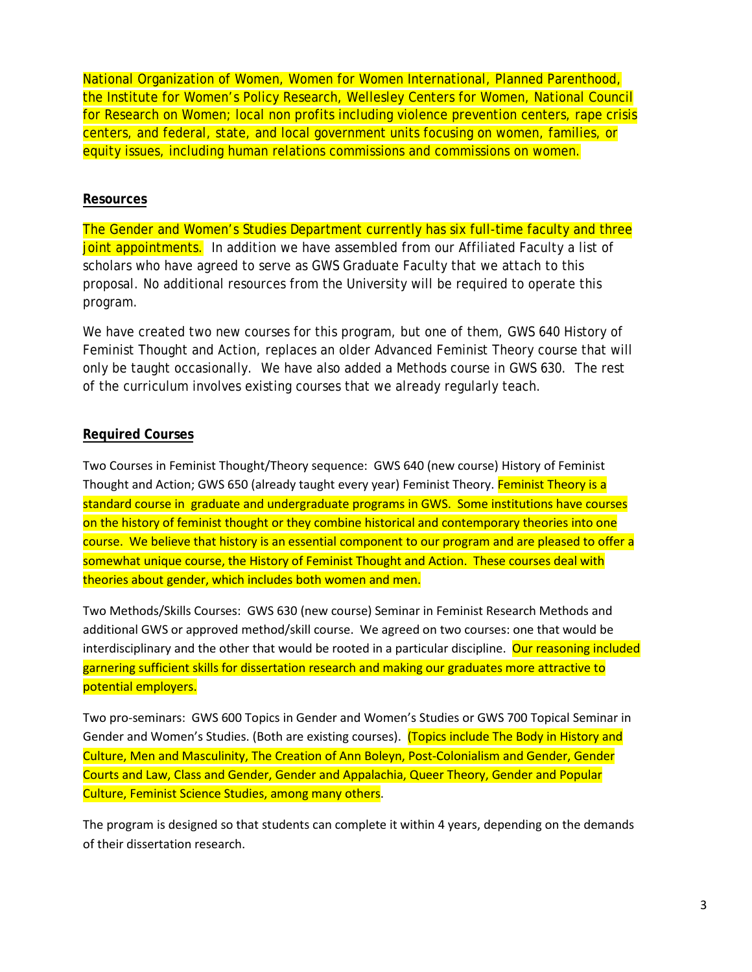National Organization of Women, Women for Women International, Planned Parenthood, the Institute for Women's Policy Research, Wellesley Centers for Women, National Council for Research on Women; local non profits including violence prevention centers, rape crisis centers, and federal, state, and local government units focusing on women, families, or equity issues, including human relations commissions and commissions on women.

### **Resources**

The Gender and Women's Studies Department currently has six full-time faculty and three joint appointments. In addition we have assembled from our Affiliated Faculty a list of scholars who have agreed to serve as GWS Graduate Faculty that we attach to this proposal. No additional resources from the University will be required to operate this program.

We have created two new courses for this program, but one of them, GWS 640 History of Feminist Thought and Action, replaces an older Advanced Feminist Theory course that will only be taught occasionally. We have also added a Methods course in GWS 630. The rest of the curriculum involves existing courses that we already regularly teach.

### **Required Courses**

Two Courses in Feminist Thought/Theory sequence: GWS 640 (new course) History of Feminist Thought and Action; GWS 650 (already taught every year) Feminist Theory. Feminist Theory is a standard course in graduate and undergraduate programs in GWS. Some institutions have courses on the history of feminist thought or they combine historical and contemporary theories into one course. We believe that history is an essential component to our program and are pleased to offer a somewhat unique course, the History of Feminist Thought and Action. These courses deal with theories about gender, which includes both women and men.

Two Methods/Skills Courses: GWS 630 (new course) Seminar in Feminist Research Methods and additional GWS or approved method/skill course. We agreed on two courses: one that would be interdisciplinary and the other that would be rooted in a particular discipline. Our reasoning included garnering sufficient skills for dissertation research and making our graduates more attractive to potential employers.

Two pro-seminars: GWS 600 Topics in Gender and Women's Studies or GWS 700 Topical Seminar in Gender and Women's Studies. (Both are existing courses). (Topics include The Body in History and Culture, Men and Masculinity, The Creation of Ann Boleyn, Post-Colonialism and Gender, Gender Courts and Law, Class and Gender, Gender and Appalachia, Queer Theory, Gender and Popular Culture, Feminist Science Studies, among many others.

The program is designed so that students can complete it within 4 years, depending on the demands of their dissertation research.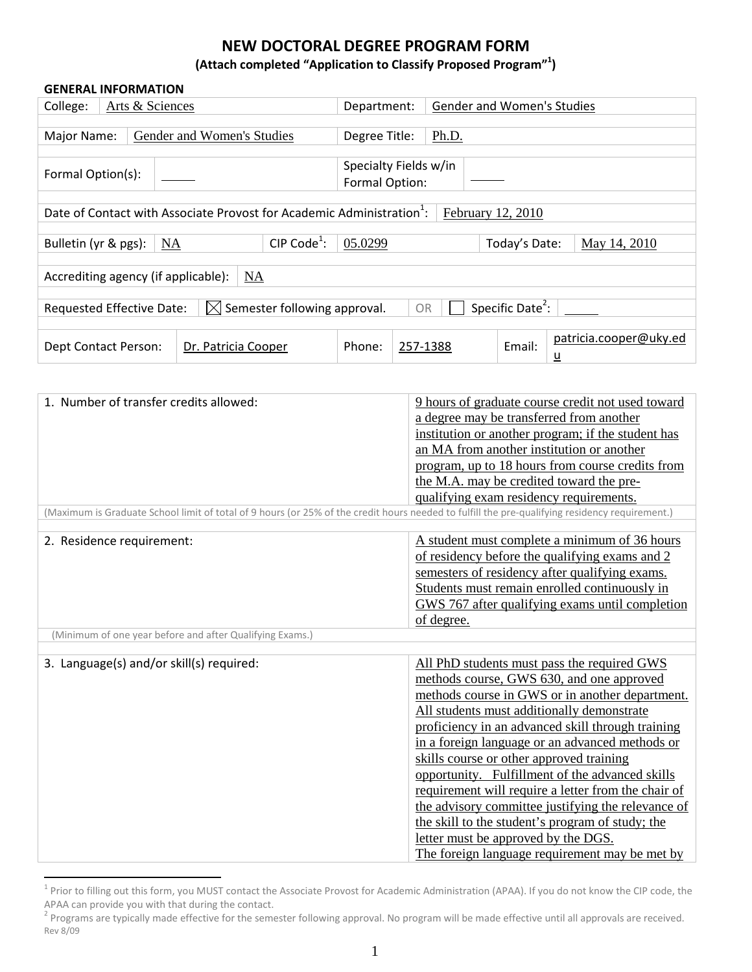### **(Attach completed "Application to Classify Proposed Program"1 )**

### **GENERAL INFORMATION**

| College:<br>Arts & Sciences                                                                                             |  | Department:                |                                                                                   | <b>Gender and Women's Studies</b> |          |       |                   |                                    |
|-------------------------------------------------------------------------------------------------------------------------|--|----------------------------|-----------------------------------------------------------------------------------|-----------------------------------|----------|-------|-------------------|------------------------------------|
|                                                                                                                         |  |                            |                                                                                   |                                   |          |       |                   |                                    |
| Major Name:                                                                                                             |  | Gender and Women's Studies |                                                                                   | Degree Title:                     |          | Ph.D. |                   |                                    |
|                                                                                                                         |  |                            |                                                                                   |                                   |          |       |                   |                                    |
|                                                                                                                         |  |                            |                                                                                   | Specialty Fields w/in             |          |       |                   |                                    |
| Formal Option(s):                                                                                                       |  |                            |                                                                                   | Formal Option:                    |          |       |                   |                                    |
|                                                                                                                         |  |                            |                                                                                   |                                   |          |       |                   |                                    |
|                                                                                                                         |  |                            | Date of Contact with Associate Provost for Academic Administration <sup>1</sup> : |                                   |          |       | February 12, 2010 |                                    |
|                                                                                                                         |  |                            |                                                                                   |                                   |          |       |                   |                                    |
| Bulletin (yr & pgs):                                                                                                    |  | NA                         | CIP Code <sup>1</sup> :                                                           | 05.0299                           |          |       | Today's Date:     | May 14, 2010                       |
|                                                                                                                         |  |                            |                                                                                   |                                   |          |       |                   |                                    |
| Accrediting agency (if applicable):                                                                                     |  |                            | NA                                                                                |                                   |          |       |                   |                                    |
|                                                                                                                         |  |                            |                                                                                   |                                   |          |       |                   |                                    |
| Specific Date <sup>2</sup> :<br>$\bowtie$ Semester following approval.<br><b>Requested Effective Date:</b><br><b>OR</b> |  |                            |                                                                                   |                                   |          |       |                   |                                    |
|                                                                                                                         |  |                            |                                                                                   |                                   |          |       |                   |                                    |
| Dept Contact Person:                                                                                                    |  | Dr. Patricia Cooper        |                                                                                   | Phone:                            | 257-1388 |       | Email:            | patricia.cooper@uky.ed<br><u>ប</u> |

| 1. Number of transfer credits allowed:                                                                                                         | 9 hours of graduate course credit not used toward   |
|------------------------------------------------------------------------------------------------------------------------------------------------|-----------------------------------------------------|
|                                                                                                                                                | a degree may be transferred from another            |
|                                                                                                                                                | institution or another program; if the student has  |
|                                                                                                                                                | an MA from another institution or another           |
|                                                                                                                                                |                                                     |
|                                                                                                                                                | program, up to 18 hours from course credits from    |
|                                                                                                                                                | the M.A. may be credited toward the pre-            |
|                                                                                                                                                | qualifying exam residency requirements.             |
| (Maximum is Graduate School limit of total of 9 hours (or 25% of the credit hours needed to fulfill the pre-qualifying residency requirement.) |                                                     |
| 2. Residence requirement:                                                                                                                      | A student must complete a minimum of 36 hours       |
|                                                                                                                                                | of residency before the qualifying exams and 2      |
|                                                                                                                                                | semesters of residency after qualifying exams.      |
|                                                                                                                                                | Students must remain enrolled continuously in       |
|                                                                                                                                                | GWS 767 after qualifying exams until completion     |
|                                                                                                                                                | of degree.                                          |
| (Minimum of one year before and after Qualifying Exams.)                                                                                       |                                                     |
|                                                                                                                                                |                                                     |
| 3. Language(s) and/or skill(s) required:                                                                                                       | All PhD students must pass the required GWS         |
|                                                                                                                                                | methods course, GWS 630, and one approved           |
|                                                                                                                                                | methods course in GWS or in another department.     |
|                                                                                                                                                | All students must additionally demonstrate          |
|                                                                                                                                                | proficiency in an advanced skill through training   |
|                                                                                                                                                | in a foreign language or an advanced methods or     |
|                                                                                                                                                | skills course or other approved training            |
|                                                                                                                                                | opportunity. Fulfillment of the advanced skills     |
|                                                                                                                                                | requirement will require a letter from the chair of |
|                                                                                                                                                | the advisory committee justifying the relevance of  |
|                                                                                                                                                | the skill to the student's program of study; the    |
|                                                                                                                                                | letter must be approved by the DGS.                 |
|                                                                                                                                                |                                                     |

 $1$  Prior to filling out this form, you MUST contact the Associate Provost for Academic Administration (APAA). If you do not know the CIP code, the APAA can provide you with that during the contact.

Rev 8/09  $^2$  Programs are typically made effective for the semester following approval. No program will be made effective until all approvals are received.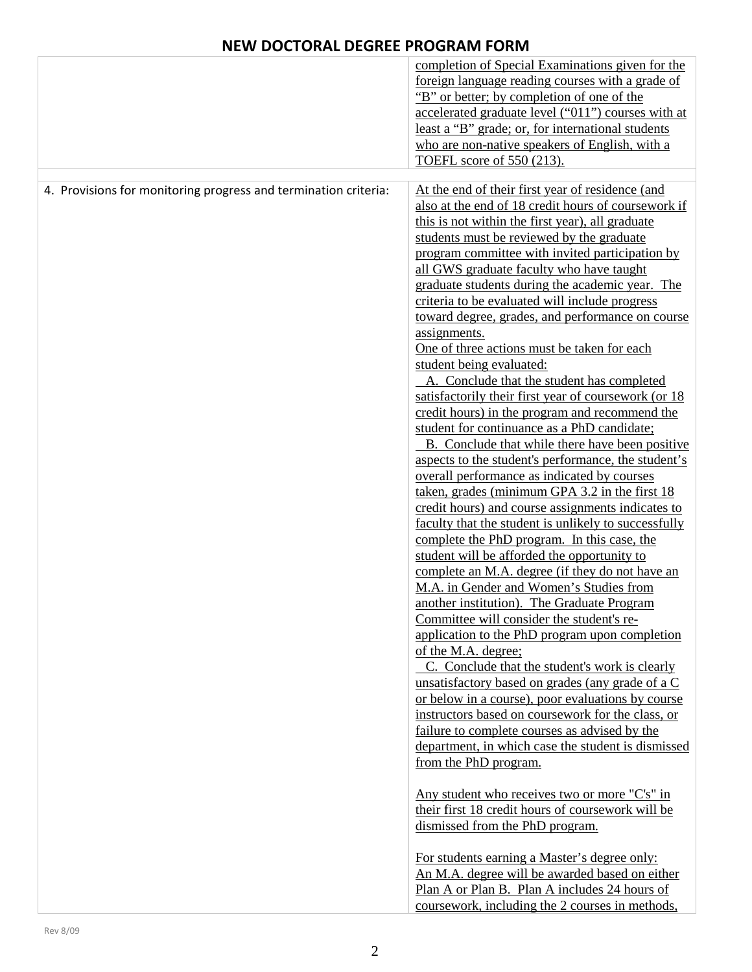|                                                                 | completion of Special Examinations given for the<br>foreign language reading courses with a grade of<br>"B" or better; by completion of one of the<br>accelerated graduate level ("011") courses with at<br>least a "B" grade; or, for international students<br>who are non-native speakers of English, with a<br>TOEFL score of 550 (213).                                                                                                                                                                                                                                                                                                                                                                                                                                                                                                                                                                                                                                                                                                                                                                                                                                                                                                                                                                                                                                                                                                                                                                                                                                                                                                                                                                                                                                                                                                                |
|-----------------------------------------------------------------|-------------------------------------------------------------------------------------------------------------------------------------------------------------------------------------------------------------------------------------------------------------------------------------------------------------------------------------------------------------------------------------------------------------------------------------------------------------------------------------------------------------------------------------------------------------------------------------------------------------------------------------------------------------------------------------------------------------------------------------------------------------------------------------------------------------------------------------------------------------------------------------------------------------------------------------------------------------------------------------------------------------------------------------------------------------------------------------------------------------------------------------------------------------------------------------------------------------------------------------------------------------------------------------------------------------------------------------------------------------------------------------------------------------------------------------------------------------------------------------------------------------------------------------------------------------------------------------------------------------------------------------------------------------------------------------------------------------------------------------------------------------------------------------------------------------------------------------------------------------|
| 4. Provisions for monitoring progress and termination criteria: | At the end of their first year of residence (and<br>also at the end of 18 credit hours of coursework if<br>this is not within the first year), all graduate<br>students must be reviewed by the graduate<br>program committee with invited participation by<br>all GWS graduate faculty who have taught<br>graduate students during the academic year. The<br>criteria to be evaluated will include progress<br>toward degree, grades, and performance on course<br>assignments.<br>One of three actions must be taken for each<br>student being evaluated:<br>A. Conclude that the student has completed<br>satisfactorily their first year of coursework (or 18<br>credit hours) in the program and recommend the<br>student for continuance as a PhD candidate;<br>B. Conclude that while there have been positive<br>aspects to the student's performance, the student's<br>overall performance as indicated by courses<br>taken, grades (minimum GPA 3.2 in the first 18<br>credit hours) and course assignments indicates to<br>faculty that the student is unlikely to successfully<br>complete the PhD program. In this case, the<br>student will be afforded the opportunity to<br>complete an M.A. degree (if they do not have an<br>M.A. in Gender and Women's Studies from<br>another institution). The Graduate Program<br>Committee will consider the student's re-<br>application to the PhD program upon completion<br>of the M.A. degree;<br>C. Conclude that the student's work is clearly<br>unsatisfactory based on grades (any grade of a C<br>or below in a course), poor evaluations by course<br>instructors based on coursework for the class, or<br>failure to complete courses as advised by the<br>department, in which case the student is dismissed<br>from the PhD program.<br>Any student who receives two or more "C's" in |
|                                                                 | their first 18 credit hours of coursework will be<br>dismissed from the PhD program.<br>For students earning a Master's degree only:<br>An M.A. degree will be awarded based on either<br>Plan A or Plan B. Plan A includes 24 hours of<br>coursework, including the 2 courses in methods,                                                                                                                                                                                                                                                                                                                                                                                                                                                                                                                                                                                                                                                                                                                                                                                                                                                                                                                                                                                                                                                                                                                                                                                                                                                                                                                                                                                                                                                                                                                                                                  |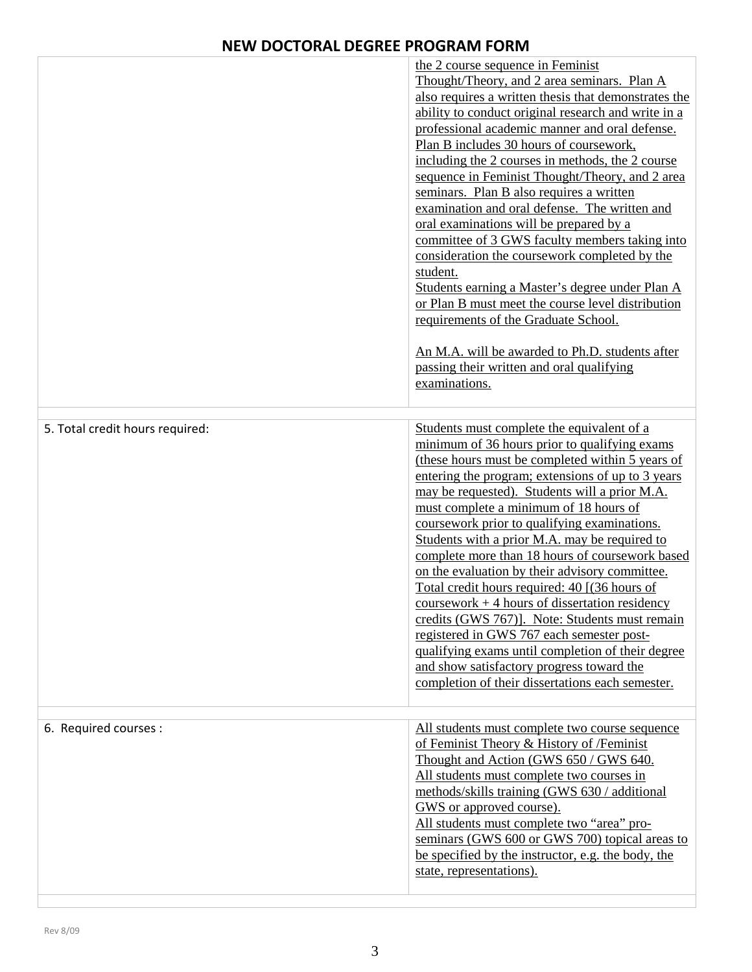|                                 | the 2 course sequence in Feminist<br>Thought/Theory, and 2 area seminars. Plan A<br>also requires a written thesis that demonstrates the<br>ability to conduct original research and write in a<br>professional academic manner and oral defense.<br>Plan B includes 30 hours of coursework,<br>including the 2 courses in methods, the 2 course<br>sequence in Feminist Thought/Theory, and 2 area<br>seminars. Plan B also requires a written<br>examination and oral defense. The written and<br>oral examinations will be prepared by a<br>committee of 3 GWS faculty members taking into<br>consideration the coursework completed by the<br>student.<br>Students earning a Master's degree under Plan A<br>or Plan B must meet the course level distribution<br>requirements of the Graduate School.<br>An M.A. will be awarded to Ph.D. students after<br>passing their written and oral qualifying<br>examinations. |
|---------------------------------|-----------------------------------------------------------------------------------------------------------------------------------------------------------------------------------------------------------------------------------------------------------------------------------------------------------------------------------------------------------------------------------------------------------------------------------------------------------------------------------------------------------------------------------------------------------------------------------------------------------------------------------------------------------------------------------------------------------------------------------------------------------------------------------------------------------------------------------------------------------------------------------------------------------------------------|
| 5. Total credit hours required: | Students must complete the equivalent of a<br>minimum of 36 hours prior to qualifying exams<br>(these hours must be completed within 5 years of<br>entering the program; extensions of up to 3 years<br>may be requested). Students will a prior M.A.<br>must complete a minimum of 18 hours of<br>coursework prior to qualifying examinations.<br>Students with a prior M.A. may be required to<br>complete more than 18 hours of coursework based<br>on the evaluation by their advisory committee.<br>Total credit hours required: 40 [(36 hours of<br>$coursework + 4 hours of dissertation residue$<br>credits (GWS 767)]. Note: Students must remain<br>registered in GWS 767 each semester post-<br>qualifying exams until completion of their degree<br>and show satisfactory progress toward the<br>completion of their dissertations each semester.                                                               |
| 6. Required courses :           | All students must complete two course sequence<br>of Feminist Theory & History of /Feminist<br>Thought and Action (GWS 650 / GWS 640.<br>All students must complete two courses in<br>methods/skills training (GWS 630 / additional<br>GWS or approved course).<br>All students must complete two "area" pro-<br>seminars (GWS 600 or GWS 700) topical areas to<br>be specified by the instructor, e.g. the body, the<br>state, representations).                                                                                                                                                                                                                                                                                                                                                                                                                                                                           |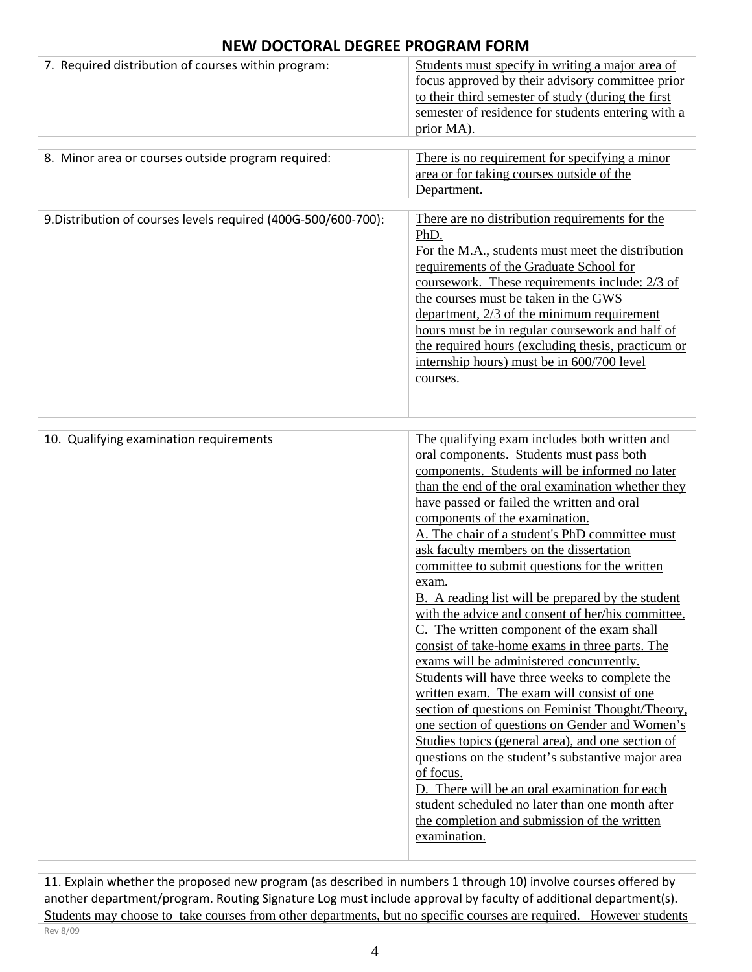| 7. Required distribution of courses within program:            | Students must specify in writing a major area of<br>focus approved by their advisory committee prior<br>to their third semester of study (during the first<br>semester of residence for students entering with a<br>prior MA).                                                                                                                                                                                                                                                                                                                                                                                                                                                                                                                                                                                                                                                                                                                                                                                                                                                                                                                                                                        |
|----------------------------------------------------------------|-------------------------------------------------------------------------------------------------------------------------------------------------------------------------------------------------------------------------------------------------------------------------------------------------------------------------------------------------------------------------------------------------------------------------------------------------------------------------------------------------------------------------------------------------------------------------------------------------------------------------------------------------------------------------------------------------------------------------------------------------------------------------------------------------------------------------------------------------------------------------------------------------------------------------------------------------------------------------------------------------------------------------------------------------------------------------------------------------------------------------------------------------------------------------------------------------------|
| 8. Minor area or courses outside program required:             | There is no requirement for specifying a minor<br>area or for taking courses outside of the<br>Department.                                                                                                                                                                                                                                                                                                                                                                                                                                                                                                                                                                                                                                                                                                                                                                                                                                                                                                                                                                                                                                                                                            |
| 9. Distribution of courses levels required (400G-500/600-700): | There are no distribution requirements for the<br>PhD.<br>For the M.A., students must meet the distribution<br>requirements of the Graduate School for<br>coursework. These requirements include: 2/3 of<br>the courses must be taken in the GWS<br>department, 2/3 of the minimum requirement<br>hours must be in regular coursework and half of<br>the required hours (excluding thesis, practicum or<br>internship hours) must be in 600/700 level<br>courses.                                                                                                                                                                                                                                                                                                                                                                                                                                                                                                                                                                                                                                                                                                                                     |
| 10. Qualifying examination requirements                        | The qualifying exam includes both written and<br>oral components. Students must pass both<br>components. Students will be informed no later<br>than the end of the oral examination whether they<br>have passed or failed the written and oral<br>components of the examination.<br>A. The chair of a student's PhD committee must<br>ask faculty members on the dissertation<br>committee to submit questions for the written<br>exam.<br><b>B.</b> A reading list will be prepared by the student<br>with the advice and consent of her/his committee.<br>C. The written component of the exam shall<br>consist of take-home exams in three parts. The<br>exams will be administered concurrently.<br>Students will have three weeks to complete the<br>written exam. The exam will consist of one<br>section of questions on Feminist Thought/Theory,<br>one section of questions on Gender and Women's<br>Studies topics (general area), and one section of<br>questions on the student's substantive major area<br>of focus.<br>D. There will be an oral examination for each<br>student scheduled no later than one month after<br>the completion and submission of the written<br>examination. |

11. Explain whether the proposed new program (as described in numbers 1 through 10) involve courses offered by another department/program. Routing Signature Log must include approval by faculty of additional department(s). Students may choose to take courses from other departments, but no specific courses are required. However students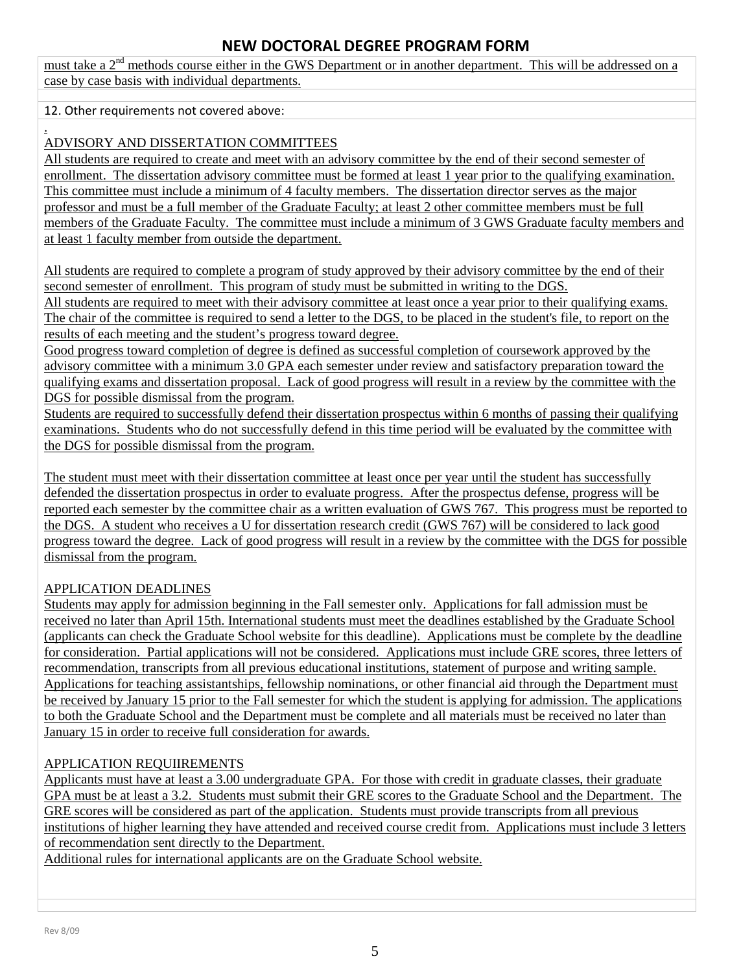must take a 2<sup>nd</sup> methods course either in the GWS Department or in another department. This will be addressed on a case by case basis with individual departments.

### 12. Other requirements not covered above:

### . ADVISORY AND DISSERTATION COMMITTEES

All students are required to create and meet with an advisory committee by the end of their second semester of enrollment. The dissertation advisory committee must be formed at least 1 year prior to the qualifying examination. This committee must include a minimum of 4 faculty members. The dissertation director serves as the major professor and must be a full member of the Graduate Faculty; at least 2 other committee members must be full members of the Graduate Faculty. The committee must include a minimum of 3 GWS Graduate faculty members and at least 1 faculty member from outside the department.

All students are required to complete a program of study approved by their advisory committee by the end of their second semester of enrollment. This program of study must be submitted in writing to the DGS.

All students are required to meet with their advisory committee at least once a year prior to their qualifying exams. The chair of the committee is required to send a letter to the DGS, to be placed in the student's file, to report on the results of each meeting and the student's progress toward degree.

Good progress toward completion of degree is defined as successful completion of coursework approved by the advisory committee with a minimum 3.0 GPA each semester under review and satisfactory preparation toward the qualifying exams and dissertation proposal. Lack of good progress will result in a review by the committee with the DGS for possible dismissal from the program.

Students are required to successfully defend their dissertation prospectus within 6 months of passing their qualifying examinations. Students who do not successfully defend in this time period will be evaluated by the committee with the DGS for possible dismissal from the program.

The student must meet with their dissertation committee at least once per year until the student has successfully defended the dissertation prospectus in order to evaluate progress. After the prospectus defense, progress will be reported each semester by the committee chair as a written evaluation of GWS 767. This progress must be reported to the DGS. A student who receives a U for dissertation research credit (GWS 767) will be considered to lack good progress toward the degree. Lack of good progress will result in a review by the committee with the DGS for possible dismissal from the program.

## APPLICATION DEADLINES

Students may apply for admission beginning in the Fall semester only. Applications for fall admission must be received no later than April 15th. International students must meet the deadlines established by the Graduate School (applicants can check the Graduate School website for this deadline). Applications must be complete by the deadline for consideration. Partial applications will not be considered. Applications must include GRE scores, three letters of recommendation, transcripts from all previous educational institutions, statement of purpose and writing sample. Applications for teaching assistantships, fellowship nominations, or other financial aid through the Department must be received by January 15 prior to the Fall semester for which the student is applying for admission. The applications to both the Graduate School and the Department must be complete and all materials must be received no later than January 15 in order to receive full consideration for awards.

## APPLICATION REQUIIREMENTS

Applicants must have at least a 3.00 undergraduate GPA. For those with credit in graduate classes, their graduate GPA must be at least a 3.2. Students must submit their GRE scores to the Graduate School and the Department. The GRE scores will be considered as part of the application. Students must provide transcripts from all previous institutions of higher learning they have attended and received course credit from. Applications must include 3 letters of recommendation sent directly to the Department.

Additional rules for international applicants are on the Graduate School website.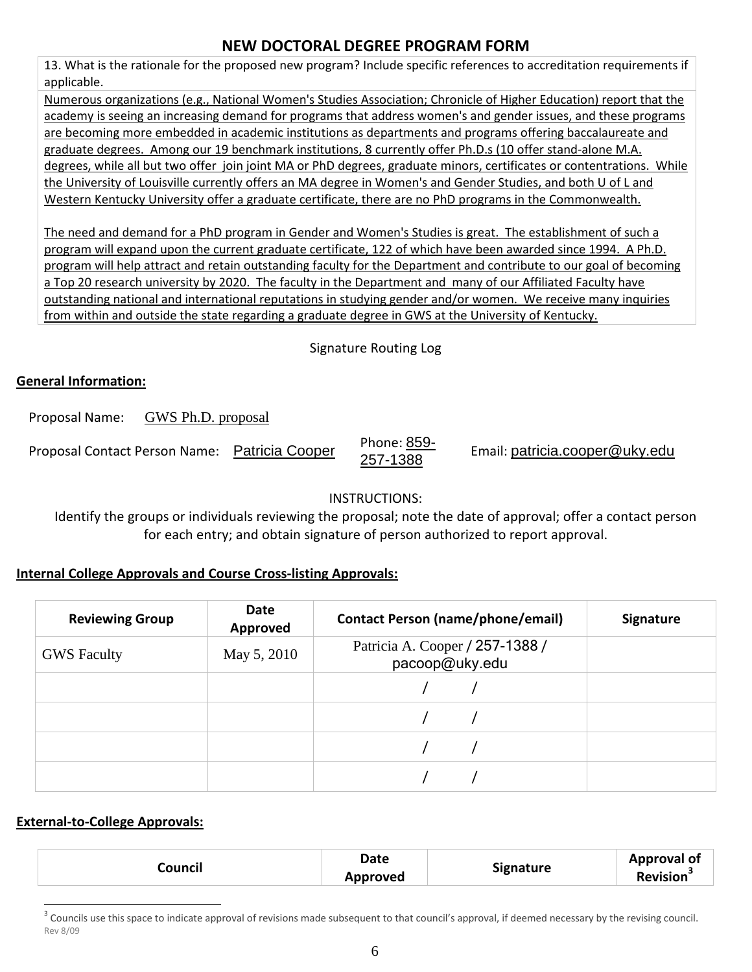13. What is the rationale for the proposed new program? Include specific references to accreditation requirements if applicable.

Numerous organizations (e.g., National Women's Studies Association; Chronicle of Higher Education) report that the academy is seeing an increasing demand for programs that address women's and gender issues, and these programs are becoming more embedded in academic institutions as departments and programs offering baccalaureate and graduate degrees. Among our 19 benchmark institutions, 8 currently offer Ph.D.s (10 offer stand-alone M.A. degrees, while all but two offer join joint MA or PhD degrees, graduate minors, certificates or contentrations. While the University of Louisville currently offers an MA degree in Women's and Gender Studies, and both U of L and Western Kentucky University offer a graduate certificate, there are no PhD programs in the Commonwealth.

The need and demand for a PhD program in Gender and Women's Studies is great. The establishment of such a program will expand upon the current graduate certificate, 122 of which have been awarded since 1994. A Ph.D. program will help attract and retain outstanding faculty for the Department and contribute to our goal of becoming a Top 20 research university by 2020. The faculty in the Department and many of our Affiliated Faculty have outstanding national and international reputations in studying gender and/or women. We receive many inquiries from within and outside the state regarding a graduate degree in GWS at the University of Kentucky.

Signature Routing Log

## **General Information:**

Proposal Name: GWS Ph.D. proposal

Proposal Contact Person Name: Patricia Cooper Phone: 859-<br>257-1388

Email: patricia.cooper@uky.edu

## INSTRUCTIONS:

Identify the groups or individuals reviewing the proposal; note the date of approval; offer a contact person for each entry; and obtain signature of person authorized to report approval.

## **Internal College Approvals and Course Cross-listing Approvals:**

| <b>Reviewing Group</b> | Date<br>Approved | <b>Contact Person (name/phone/email)</b>          | <b>Signature</b> |
|------------------------|------------------|---------------------------------------------------|------------------|
| <b>GWS</b> Faculty     | May 5, 2010      | Patricia A. Cooper / 257-1388 /<br>pacoop@uky.edu |                  |
|                        |                  |                                                   |                  |
|                        |                  |                                                   |                  |
|                        |                  |                                                   |                  |
|                        |                  |                                                   |                  |

## **External-to-College Approvals:**

| Council | Date            |                  | Approval of |
|---------|-----------------|------------------|-------------|
|         | <b>Approved</b> | <b>Signature</b> | Revision    |

Rev 8/09  $3$  Councils use this space to indicate approval of revisions made subsequent to that council's approval, if deemed necessary by the revising council.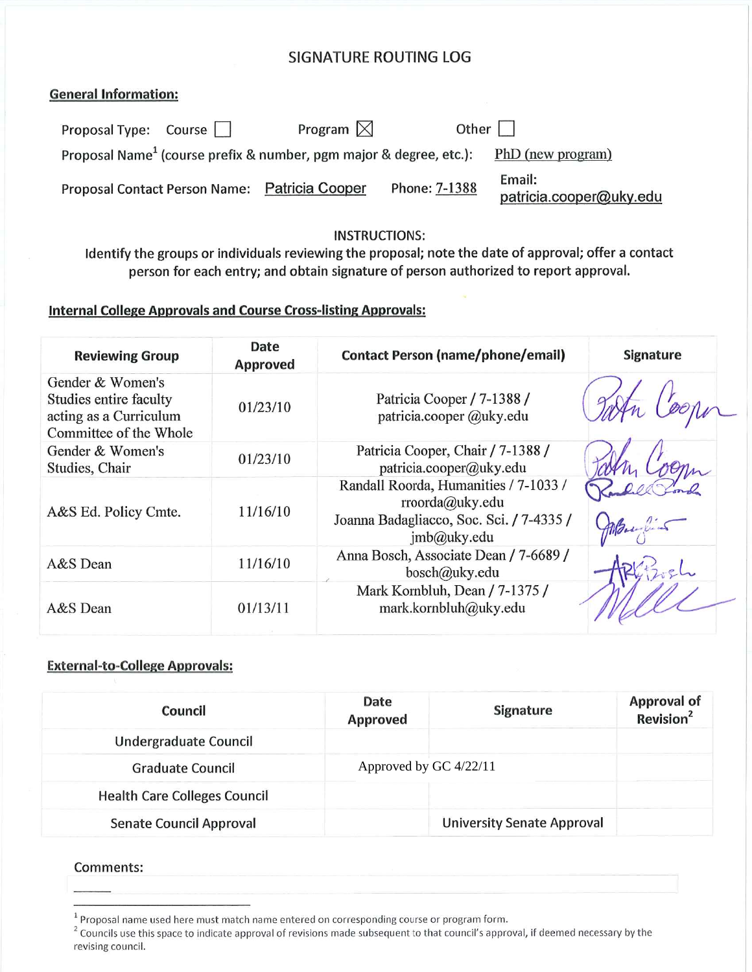# **SIGNATURE ROUTING LOG**

### **General Information:**

| Proposal Type: Course | Program $\boxtimes$                                                            | Other $\vert \ \vert$ |                                   |
|-----------------------|--------------------------------------------------------------------------------|-----------------------|-----------------------------------|
|                       | Proposal Name <sup>1</sup> (course prefix & number, pgm major & degree, etc.): |                       | PhD (new program)                 |
|                       | Proposal Contact Person Name: Patricia Cooper                                  | Phone: 7-1388         | Email:<br>patricia.cooper@uky.edu |

### **INSTRUCTIONS:**

Identify the groups or individuals reviewing the proposal; note the date of approval; offer a contact person for each entry; and obtain signature of person authorized to report approval.

## **Internal College Approvals and Course Cross-listing Approvals:**

| <b>Reviewing Group</b>                                                                         | Date<br><b>Approved</b> | <b>Contact Person (name/phone/email)</b>                                                                            | <b>Signature</b> |
|------------------------------------------------------------------------------------------------|-------------------------|---------------------------------------------------------------------------------------------------------------------|------------------|
| Gender & Women's<br>Studies entire faculty<br>acting as a Curriculum<br>Committee of the Whole | 01/23/10                | Patricia Cooper / 7-1388 /<br>patricia.cooper @uky.edu                                                              |                  |
| Gender & Women's<br>Studies, Chair                                                             | 01/23/10                | Patricia Cooper, Chair / 7-1388 /<br>patricia.cooper@uky.edu                                                        |                  |
| A&S Ed. Policy Cmte.                                                                           | 11/16/10                | Randall Roorda, Humanities / 7-1033 /<br>rroorda@uky.edu<br>Joanna Badagliacco, Soc. Sci. / 7-4335 /<br>imb@uky.edu |                  |
| A&S Dean                                                                                       | 11/16/10                | Anna Bosch, Associate Dean / 7-6689 /<br>bosch@uky.edu                                                              |                  |
| A&S Dean                                                                                       | 01/13/11                | Mark Kornbluh, Dean / 7-1375 /<br>mark.kornbluh@uky.edu                                                             |                  |

### **External-to-College Approvals:**

| Council                             | Date<br><b>Approved</b> | Signature                         | <b>Approval of</b><br>Revision <sup>2</sup> |
|-------------------------------------|-------------------------|-----------------------------------|---------------------------------------------|
| Undergraduate Council               |                         |                                   |                                             |
| <b>Graduate Council</b>             | Approved by GC 4/22/11  |                                   |                                             |
| <b>Health Care Colleges Council</b> |                         |                                   |                                             |
| Senate Council Approval             |                         | <b>University Senate Approval</b> |                                             |

### Comments:

<sup>&</sup>lt;sup>1</sup> Proposal name used here must match name entered on corresponding course or program form.

<sup>&</sup>lt;sup>2</sup> Councils use this space to indicate approval of revisions made subsequent to that council's approval, if deemed necessary by the revising council.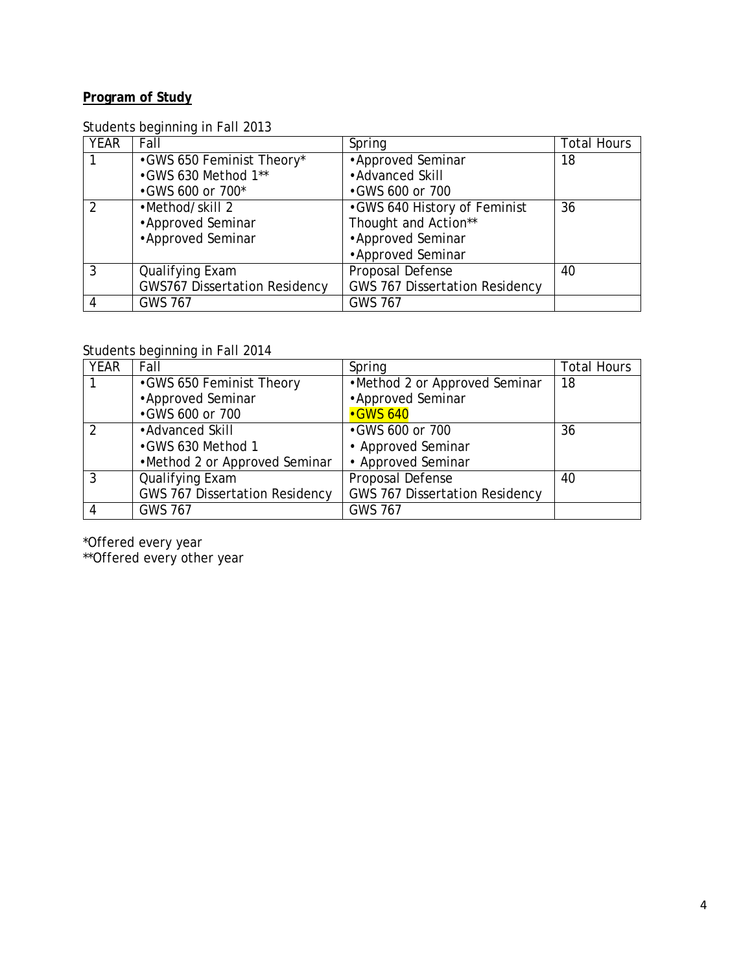# **Program of Study**

## Students beginning in Fall 2013

| <b>YEAR</b> | Fall                                 | Spring                                | <b>Total Hours</b> |
|-------------|--------------------------------------|---------------------------------------|--------------------|
|             | •GWS 650 Feminist Theory*            | • Approved Seminar                    | 18                 |
|             | •GWS 630 Method 1**                  | • Advanced Skill                      |                    |
|             | •GWS 600 or 700*                     | •GWS 600 or 700                       |                    |
|             | •Method/skill 2                      | •GWS 640 History of Feminist          | 36                 |
|             | • Approved Seminar                   | Thought and Action**                  |                    |
|             | • Approved Seminar                   | • Approved Seminar                    |                    |
|             |                                      | • Approved Seminar                    |                    |
| 3           | Qualifying Exam                      | Proposal Defense                      | 40                 |
|             | <b>GWS767 Dissertation Residency</b> | <b>GWS 767 Dissertation Residency</b> |                    |
|             | <b>GWS 767</b>                       | <b>GWS 767</b>                        |                    |

Students beginning in Fall 2014

| <b>YEAR</b>   | Fall                                  | Spring                                | <b>Total Hours</b> |
|---------------|---------------------------------------|---------------------------------------|--------------------|
|               | •GWS 650 Feminist Theory              | •Method 2 or Approved Seminar         | 18                 |
|               | • Approved Seminar                    | • Approved Seminar                    |                    |
|               | •GWS 600 or 700                       | <b>•GWS 640</b>                       |                    |
| $\mathcal{P}$ | • Advanced Skill                      | •GWS 600 or 700                       | 36                 |
|               | •GWS 630 Method 1                     | • Approved Seminar                    |                    |
|               | •Method 2 or Approved Seminar         | • Approved Seminar                    |                    |
| 3             | Qualifying Exam                       | Proposal Defense                      | 40                 |
|               | <b>GWS 767 Dissertation Residency</b> | <b>GWS 767 Dissertation Residency</b> |                    |
| -4            | <b>GWS 767</b>                        | <b>GWS 767</b>                        |                    |

\*Offered every year

\*\*Offered every other year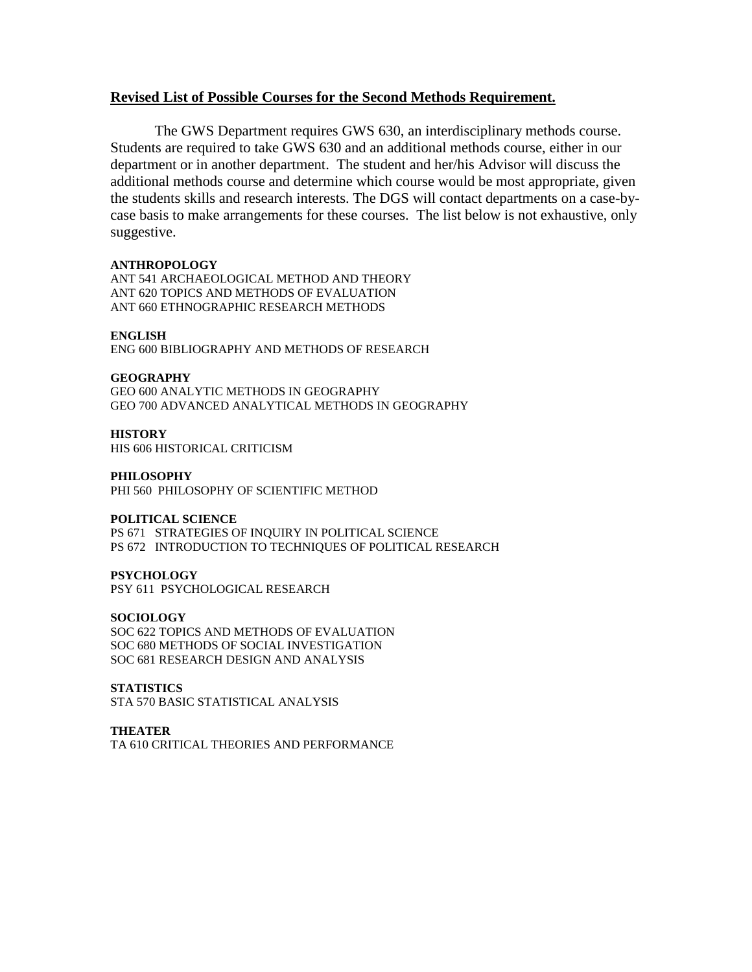### **Revised List of Possible Courses for the Second Methods Requirement.**

The GWS Department requires GWS 630, an interdisciplinary methods course. Students are required to take GWS 630 and an additional methods course, either in our department or in another department. The student and her/his Advisor will discuss the additional methods course and determine which course would be most appropriate, given the students skills and research interests. The DGS will contact departments on a case-bycase basis to make arrangements for these courses. The list below is not exhaustive, only suggestive.

### **ANTHROPOLOGY**

ANT 541 ARCHAEOLOGICAL METHOD AND THEORY ANT 620 TOPICS AND METHODS OF EVALUATION ANT 660 ETHNOGRAPHIC RESEARCH METHODS

### **ENGLISH**

ENG 600 BIBLIOGRAPHY AND METHODS OF RESEARCH

### **GEOGRAPHY**

GEO 600 ANALYTIC METHODS IN GEOGRAPHY GEO 700 ADVANCED ANALYTICAL METHODS IN GEOGRAPHY

### **HISTORY**

HIS 606 HISTORICAL CRITICISM

#### **PHILOSOPHY**

PHI 560 PHILOSOPHY OF SCIENTIFIC METHOD

### **POLITICAL SCIENCE**

PS 671 STRATEGIES OF INQUIRY IN POLITICAL SCIENCE PS 672 INTRODUCTION TO TECHNIQUES OF POLITICAL RESEARCH

### **PSYCHOLOGY**

PSY 611 PSYCHOLOGICAL RESEARCH

### **SOCIOLOGY**

SOC 622 TOPICS AND METHODS OF EVALUATION SOC 680 METHODS OF SOCIAL INVESTIGATION SOC 681 RESEARCH DESIGN AND ANALYSIS

### **STATISTICS**

STA 570 BASIC STATISTICAL ANALYSIS

### **THEATER**

TA 610 CRITICAL THEORIES AND PERFORMANCE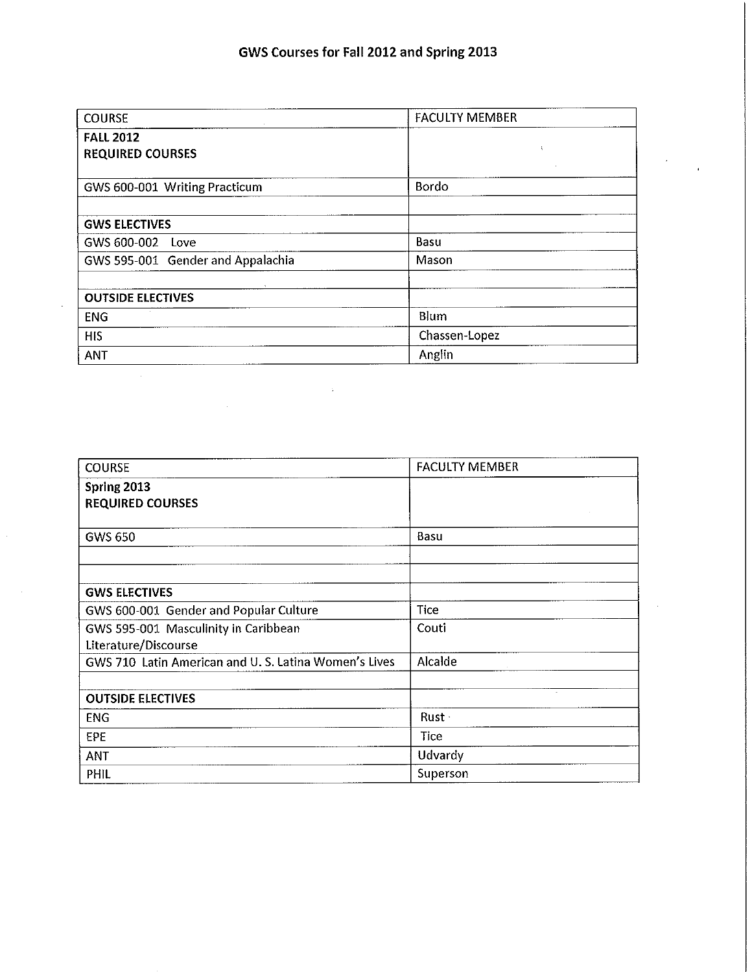| <b>COURSE</b>                               | <b>FACULTY MEMBER</b> |  |  |
|---------------------------------------------|-----------------------|--|--|
| <b>FALL 2012</b><br><b>REQUIRED COURSES</b> | Ä                     |  |  |
| GWS 600-001 Writing Practicum               | Bordo                 |  |  |
| <b>GWS ELECTIVES</b>                        |                       |  |  |
| GWS 600-002 Love                            | Basu                  |  |  |
| GWS 595-001 Gender and Appalachia           | Mason                 |  |  |
| <b>OUTSIDE ELECTIVES</b>                    |                       |  |  |
| <b>ENG</b>                                  | Blum                  |  |  |
| <b>HIS</b>                                  | Chassen-Lopez         |  |  |
| <b>ANT</b>                                  | Anglin                |  |  |

| <b>COURSE</b>                                        | <b>FACULTY MEMBER</b> |
|------------------------------------------------------|-----------------------|
| Spring 2013                                          |                       |
| <b>REQUIRED COURSES</b>                              |                       |
|                                                      |                       |
| <b>GWS 650</b>                                       | Basu                  |
|                                                      |                       |
| <b>GWS ELECTIVES</b>                                 |                       |
| GWS 600-001 Gender and Popular Culture               | <b>Tice</b>           |
| GWS 595-001 Masculinity in Caribbean                 | Couti                 |
| Literature/Discourse                                 |                       |
| GWS 710 Latin American and U.S. Latina Women's Lives | Alcalde               |
| <b>OUTSIDE ELECTIVES</b>                             |                       |
| <b>ENG</b>                                           | Rust -                |
| EPE                                                  | Tice                  |
| <b>ANT</b>                                           | Udvardy               |
| PHIL                                                 | Superson              |

ä,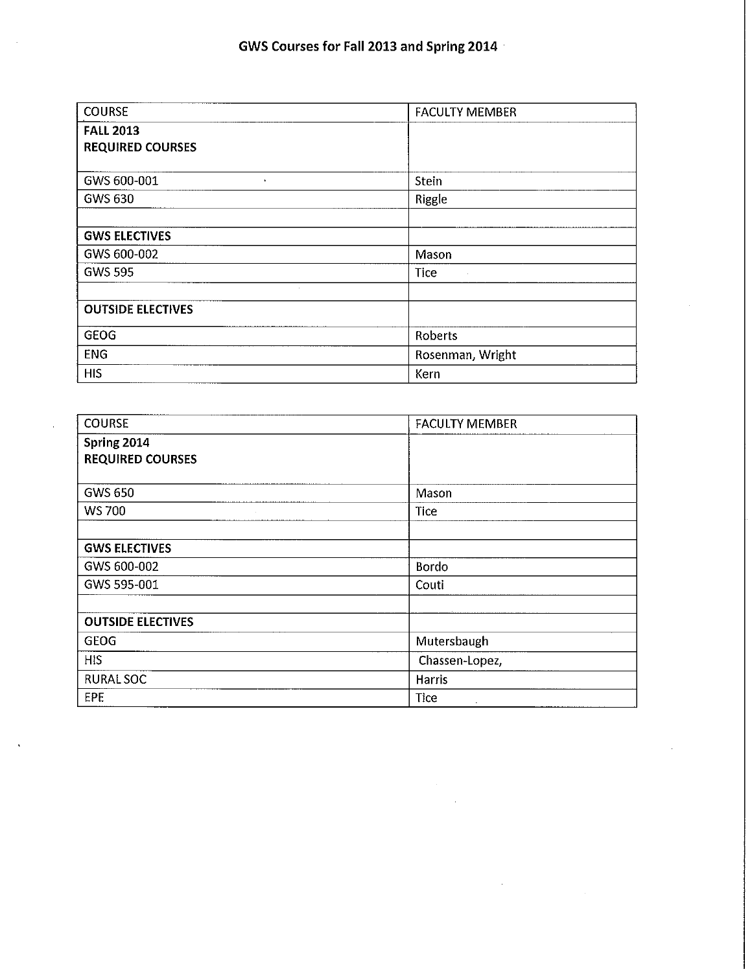| <b>COURSE</b>            | <b>FACULTY MEMBER</b> |  |
|--------------------------|-----------------------|--|
| <b>FALL 2013</b>         |                       |  |
| <b>REQUIRED COURSES</b>  |                       |  |
|                          |                       |  |
| GWS 600-001<br>$\bullet$ | Stein                 |  |
| <b>GWS 630</b>           | Riggle                |  |
|                          |                       |  |
| <b>GWS ELECTIVES</b>     |                       |  |
| GWS 600-002              | Mason                 |  |
| <b>GWS 595</b>           | <b>Tice</b>           |  |
| $\sim 10^{-1}$           |                       |  |
| <b>OUTSIDE ELECTIVES</b> |                       |  |
| <b>GEOG</b>              | Roberts               |  |
| <b>ENG</b>               | Rosenman, Wright      |  |
| <b>HIS</b>               | Kern                  |  |

| <b>COURSE</b>            | <b>FACULTY MEMBER</b> |
|--------------------------|-----------------------|
| Spring 2014              |                       |
| <b>REQUIRED COURSES</b>  |                       |
| <b>GWS 650</b>           | Mason                 |
|                          |                       |
| <b>WS 700</b>            | <b>Tice</b>           |
| <b>GWS ELECTIVES</b>     |                       |
| GWS 600-002              | <b>Bordo</b>          |
| GWS 595-001              | Couti                 |
| <b>OUTSIDE ELECTIVES</b> |                       |
|                          |                       |
| <b>GEOG</b>              | Mutersbaugh           |
| <b>HIS</b>               | Chassen-Lopez,        |
| <b>RURAL SOC</b>         | <b>Harris</b>         |
| <b>EPE</b>               | <b>Tice</b><br>$\sim$ |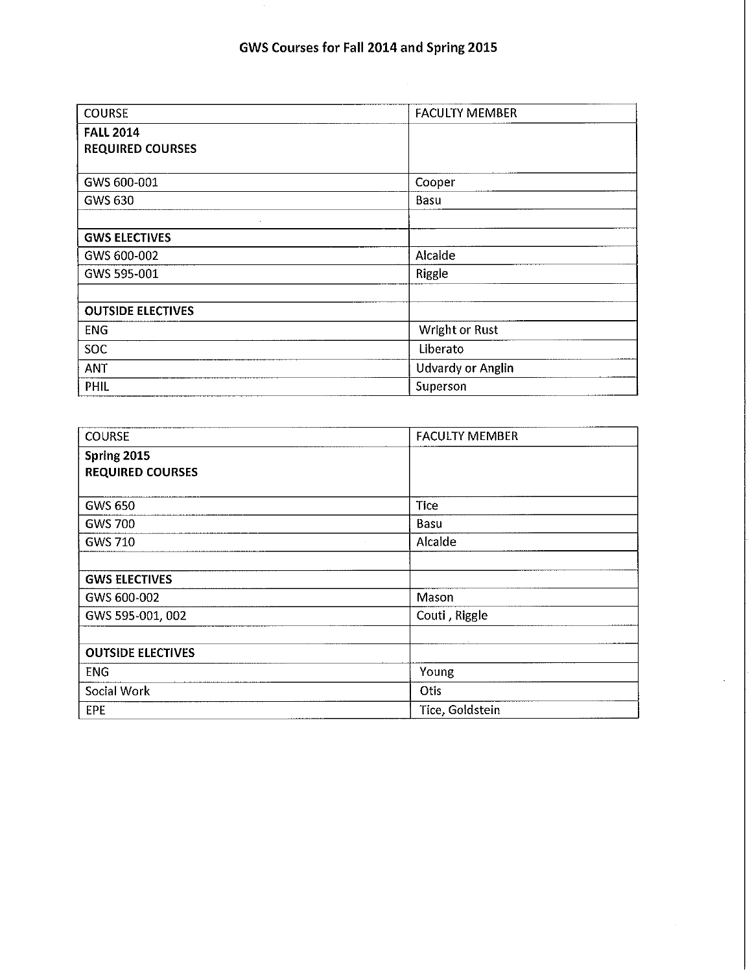| <b>COURSE</b>            | <b>FACULTY MEMBER</b>    |  |
|--------------------------|--------------------------|--|
| <b>FALL 2014</b>         |                          |  |
| <b>REQUIRED COURSES</b>  |                          |  |
|                          |                          |  |
| GWS 600-001              | Cooper                   |  |
| GWS 630                  | Basu                     |  |
| $\sim$                   |                          |  |
| <b>GWS ELECTIVES</b>     |                          |  |
| GWS 600-002              | Alcalde                  |  |
| GWS 595-001              | Riggle                   |  |
|                          |                          |  |
| <b>OUTSIDE ELECTIVES</b> |                          |  |
| <b>ENG</b>               | Wright or Rust           |  |
| <b>SOC</b>               | Liberato                 |  |
| <b>ANT</b>               | <b>Udvardy or Anglin</b> |  |
| PHIL                     | Superson                 |  |

| <b>COURSE</b>            | <b>FACULTY MEMBER</b> |  |
|--------------------------|-----------------------|--|
| Spring 2015              |                       |  |
| <b>REQUIRED COURSES</b>  |                       |  |
|                          |                       |  |
| <b>GWS 650</b>           | <b>Tice</b>           |  |
| <b>GWS 700</b>           | Basu                  |  |
| <b>GWS 710</b>           | Alcalde               |  |
|                          |                       |  |
| <b>GWS ELECTIVES</b>     |                       |  |
| GWS 600-002              | Mason                 |  |
| GWS 595-001, 002         | Couti, Riggle         |  |
|                          |                       |  |
| <b>OUTSIDE ELECTIVES</b> |                       |  |
| <b>ENG</b>               | Young                 |  |
| Social Work              | Otis                  |  |
| EPE                      | Tice, Goldstein       |  |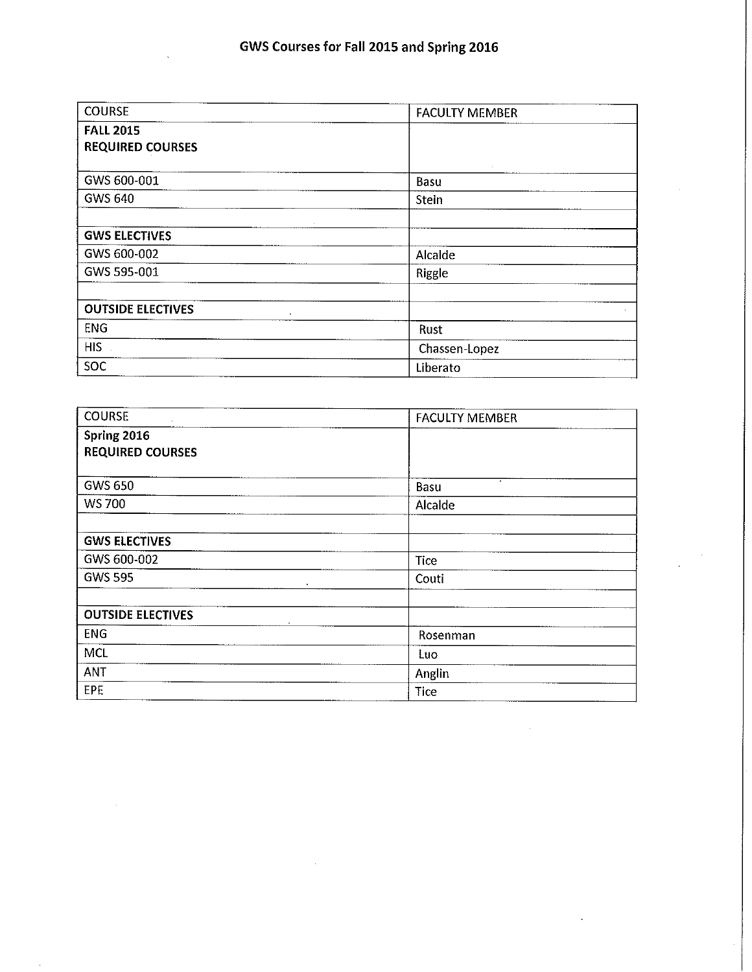| <b>COURSE</b>                          | <b>FACULTY MEMBER</b> |  |
|----------------------------------------|-----------------------|--|
| <b>FALL 2015</b>                       |                       |  |
| <b>REQUIRED COURSES</b>                |                       |  |
|                                        |                       |  |
| GWS 600-001                            | <b>Basu</b>           |  |
| <b>GWS 640</b>                         | Stein                 |  |
|                                        |                       |  |
| <b>GWS ELECTIVES</b>                   |                       |  |
| GWS 600-002                            | Alcalde               |  |
| GWS 595-001                            | Riggle                |  |
|                                        |                       |  |
| <b>OUTSIDE ELECTIVES</b><br>$\epsilon$ |                       |  |
| <b>ENG</b>                             | Rust                  |  |
| <b>HIS</b>                             | Chassen-Lopez         |  |
| <b>SOC</b>                             | Liberato              |  |

| <b>COURSE</b>                          | <b>FACULTY MEMBER</b> |  |  |
|----------------------------------------|-----------------------|--|--|
| Spring 2016<br><b>REQUIRED COURSES</b> |                       |  |  |
| <b>GWS 650</b>                         | $\bullet$<br>Basu     |  |  |
| <b>WS 700</b>                          | Alcalde               |  |  |
| <b>GWS ELECTIVES</b>                   |                       |  |  |
| GWS 600-002                            | <b>Tice</b>           |  |  |
| <b>GWS 595</b>                         | Couti<br>٠            |  |  |
| <b>OUTSIDE ELECTIVES</b>               |                       |  |  |
| <b>ENG</b>                             | Rosenman              |  |  |
| <b>MCL</b>                             | Luo                   |  |  |
| ANT                                    | Anglin                |  |  |
| <b>EPF</b>                             | Tice                  |  |  |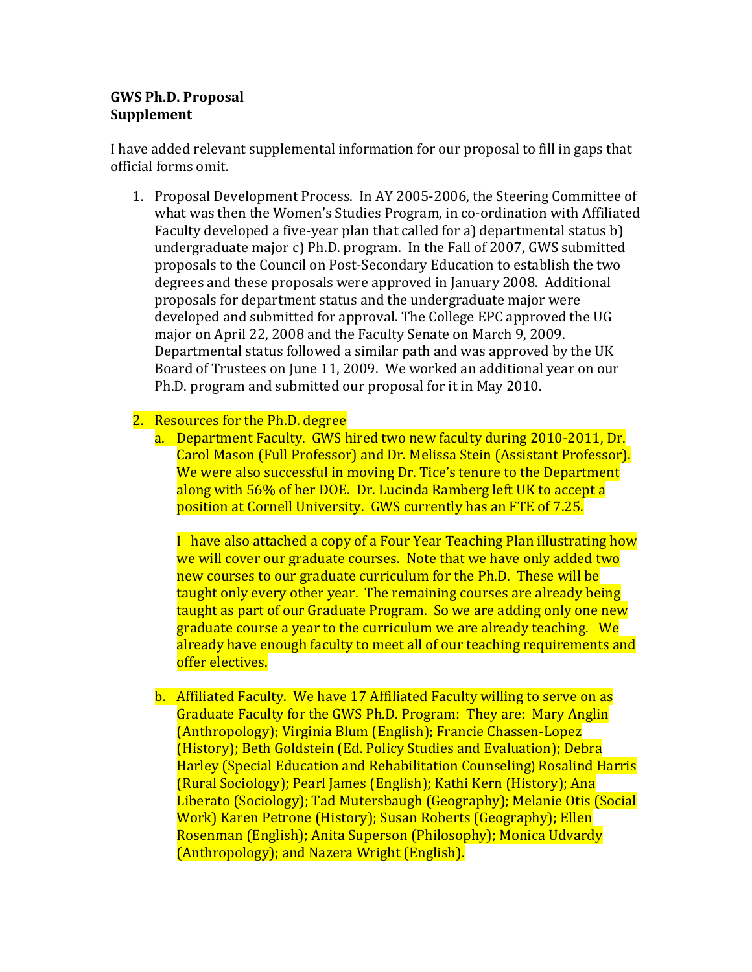## **GWS Ph.D. Proposal Supplement**

I have added relevant supplemental information for our proposal to fill in gaps that official forms omit.

1. Proposal Development Process. In AY 2005-2006, the Steering Committee of what was then the Women's Studies Program, in co-ordination with Affiliated Faculty developed a five-year plan that called for a) departmental status b) undergraduate major c) Ph.D. program. In the Fall of 2007, GWS submitted proposals to the Council on Post-Secondary Education to establish the two degrees and these proposals were approved in January 2008. Additional proposals for department status and the undergraduate major were developed and submitted for approval. The College EPC approved the UG major on April 22, 2008 and the Faculty Senate on March 9, 2009. Departmental status followed a similar path and was approved by the UK Board of Trustees on June 11, 2009. We worked an additional year on our Ph.D. program and submitted our proposal for it in May 2010.

2. Resources for the Ph.D. degree

a. Department Faculty. GWS hired two new faculty during 2010-2011, Dr. Carol Mason (Full Professor) and Dr. Melissa Stein (Assistant Professor). We were also successful in moving Dr. Tice's tenure to the Department along with 56% of her DOE. Dr. Lucinda Ramberg left UK to accept a position at Cornell University. GWS currently has an FTE of 7.25.

I have also attached a copy of a Four Year Teaching Plan illustrating how we will cover our graduate courses. Note that we have only added two new courses to our graduate curriculum for the Ph.D. These will be taught only every other year. The remaining courses are already being taught as part of our Graduate Program. So we are adding only one new graduate course a year to the curriculum we are already teaching. We already have enough faculty to meet all of our teaching requirements and offer electives.

b. Affiliated Faculty. We have 17 Affiliated Faculty willing to serve on as Graduate Faculty for the GWS Ph.D. Program: They are: Mary Anglin (Anthropology); Virginia Blum (English); Francie Chassen-Lopez (History); Beth Goldstein (Ed. Policy Studies and Evaluation); Debra Harley (Special Education and Rehabilitation Counseling) Rosalind Harris (Rural Sociology); Pearl James (English); Kathi Kern (History); Ana Liberato (Sociology); Tad Mutersbaugh (Geography); Melanie Otis (Social Work) Karen Petrone (History); Susan Roberts (Geography); Ellen Rosenman (English); Anita Superson (Philosophy); Monica Udvardy (Anthropology); and Nazera Wright (English).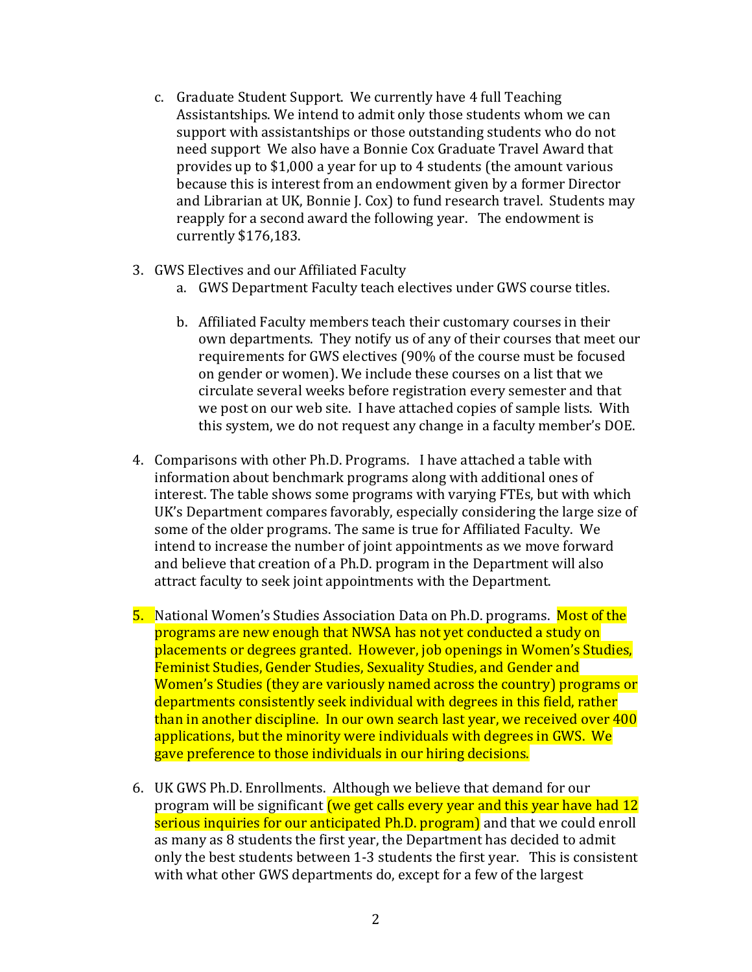- c. Graduate Student Support. We currently have 4 full Teaching Assistantships. We intend to admit only those students whom we can support with assistantships or those outstanding students who do not need support We also have a Bonnie Cox Graduate Travel Award that provides up to \$1,000 a year for up to 4 students (the amount various because this is interest from an endowment given by a former Director and Librarian at UK, Bonnie J. Cox) to fund research travel. Students may reapply for a second award the following year. The endowment is currently \$176,183.
- 3. GWS Electives and our Affiliated Faculty
	- a. GWS Department Faculty teach electives under GWS course titles.
	- b. Affiliated Faculty members teach their customary courses in their own departments. They notify us of any of their courses that meet our requirements for GWS electives (90% of the course must be focused on gender or women). We include these courses on a list that we circulate several weeks before registration every semester and that we post on our web site. I have attached copies of sample lists. With this system, we do not request any change in a faculty member's DOE.
- 4. Comparisons with other Ph.D. Programs. I have attached a table with information about benchmark programs along with additional ones of interest. The table shows some programs with varying FTEs, but with which UK's Department compares favorably, especially considering the large size of some of the older programs. The same is true for Affiliated Faculty. We intend to increase the number of joint appointments as we move forward and believe that creation of a Ph.D. program in the Department will also attract faculty to seek joint appointments with the Department.
- 5. National Women's Studies Association Data on Ph.D. programs. Most of the programs are new enough that NWSA has not yet conducted a study on placements or degrees granted. However, job openings in Women's Studies, Feminist Studies, Gender Studies, Sexuality Studies, and Gender and Women's Studies (they are variously named across the country) programs or departments consistently seek individual with degrees in this field, rather than in another discipline. In our own search last year, we received over 400 applications, but the minority were individuals with degrees in GWS. We gave preference to those individuals in our hiring decisions.
- 6. UK GWS Ph.D. Enrollments. Although we believe that demand for our program will be significant (we get calls every year and this year have had 12 serious inquiries for our anticipated Ph.D. program) and that we could enroll as many as 8 students the first year, the Department has decided to admit only the best students between 1-3 students the first year. This is consistent with what other GWS departments do, except for a few of the largest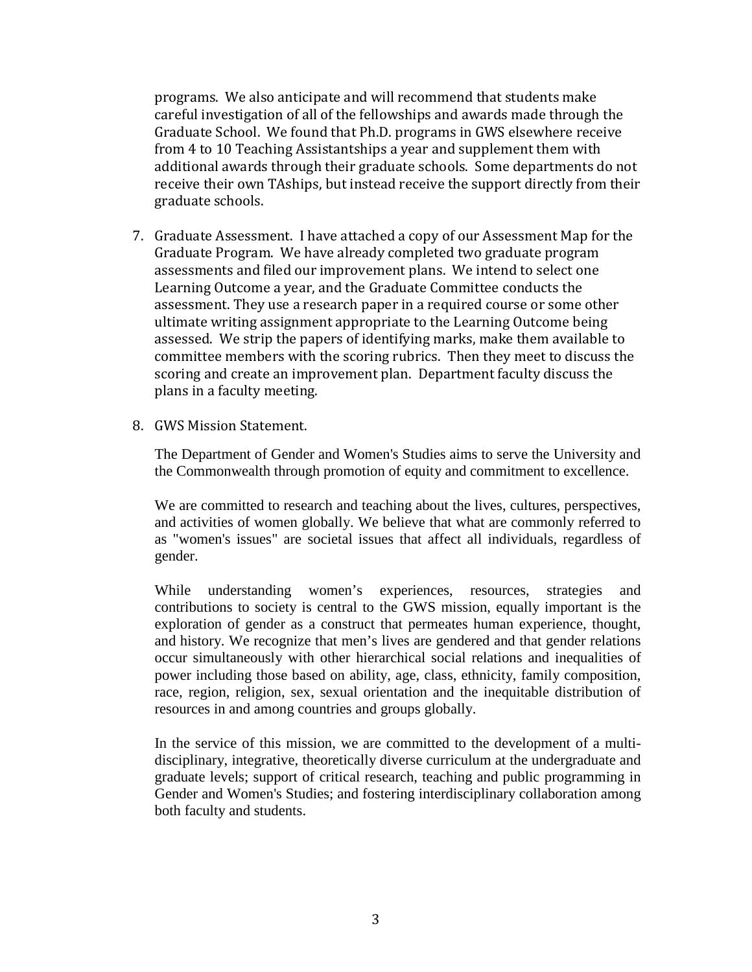programs. We also anticipate and will recommend that students make careful investigation of all of the fellowships and awards made through the Graduate School. We found that Ph.D. programs in GWS elsewhere receive from 4 to 10 Teaching Assistantships a year and supplement them with additional awards through their graduate schools. Some departments do not receive their own TAships, but instead receive the support directly from their graduate schools.

- 7. Graduate Assessment. I have attached a copy of our Assessment Map for the Graduate Program. We have already completed two graduate program assessments and filed our improvement plans. We intend to select one Learning Outcome a year, and the Graduate Committee conducts the assessment. They use a research paper in a required course or some other ultimate writing assignment appropriate to the Learning Outcome being assessed. We strip the papers of identifying marks, make them available to committee members with the scoring rubrics. Then they meet to discuss the scoring and create an improvement plan. Department faculty discuss the plans in a faculty meeting.
- 8. GWS Mission Statement.

The Department of Gender and Women's Studies aims to serve the University and the Commonwealth through promotion of equity and commitment to excellence.

We are committed to research and teaching about the lives, cultures, perspectives, and activities of women globally. We believe that what are commonly referred to as "women's issues" are societal issues that affect all individuals, regardless of gender.

While understanding women's experiences, resources, strategies and contributions to society is central to the GWS mission, equally important is the exploration of gender as a construct that permeates human experience, thought, and history. We recognize that men's lives are gendered and that gender relations occur simultaneously with other hierarchical social relations and inequalities of power including those based on ability, age, class, ethnicity, family composition, race, region, religion, sex, sexual orientation and the inequitable distribution of resources in and among countries and groups globally.

In the service of this mission, we are committed to the development of a multidisciplinary, integrative, theoretically diverse curriculum at the undergraduate and graduate levels; support of critical research, teaching and public programming in Gender and Women's Studies; and fostering interdisciplinary collaboration among both faculty and students.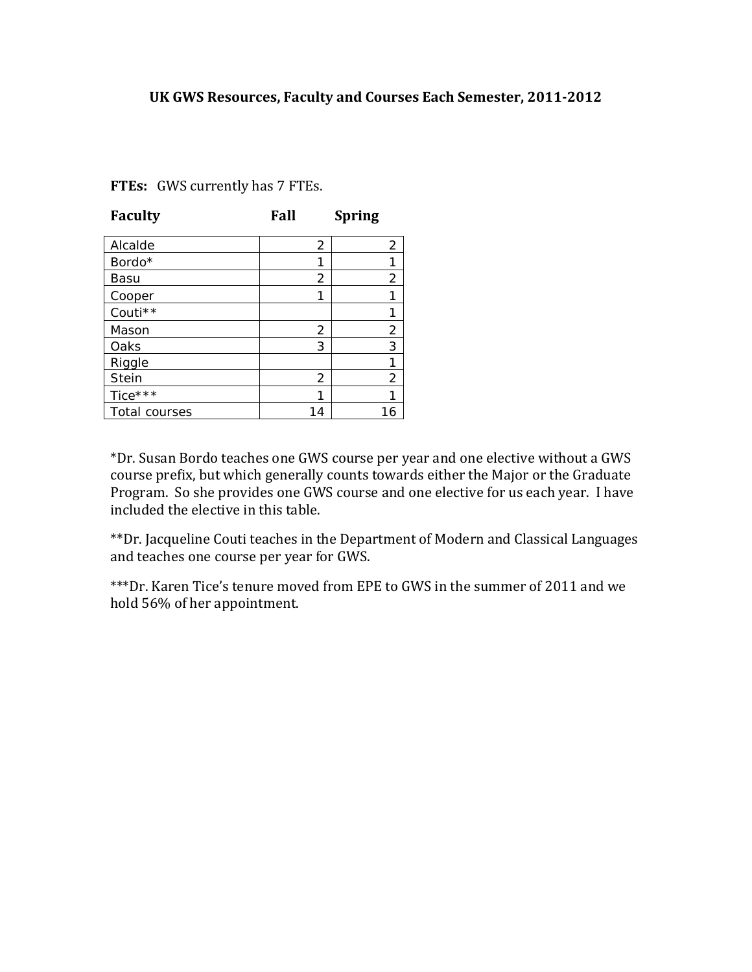### **UK GWS Resources, Faculty and Courses Each Semester, 2011-2012**

| <b>Faculty</b> | Fall           | <b>Spring</b>  |
|----------------|----------------|----------------|
| Alcalde        | 2              | $\overline{2}$ |
| Bordo*         | 1              |                |
| Basu           | 2              | 2              |
| Cooper         | 1              |                |
| Couti**        |                |                |
| Mason          | 2              | 2              |
| Oaks           | 3              | 3              |
| Riggle         |                |                |
| <b>Stein</b>   | $\overline{2}$ | $\overline{2}$ |
| Tice***        | 1              |                |
| Total courses  | 14             | 6              |

**FTEs:** GWS currently has 7 FTEs.

\*Dr. Susan Bordo teaches one GWS course per year and one elective without a GWS course prefix, but which generally counts towards either the Major or the Graduate Program. So she provides one GWS course and one elective for us each year. I have included the elective in this table.

\*\*Dr. Jacqueline Couti teaches in the Department of Modern and Classical Languages and teaches one course per year for GWS.

\*\*\*Dr. Karen Tice's tenure moved from EPE to GWS in the summer of 2011 and we hold 56% of her appointment.